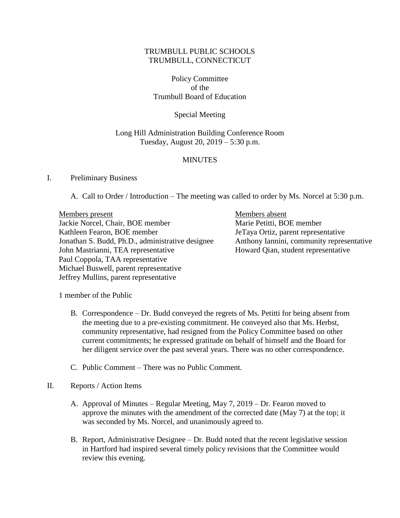# TRUMBULL PUBLIC SCHOOLS TRUMBULL, CONNECTICUT

Policy Committee of the Trumbull Board of Education

Special Meeting

### Long Hill Administration Building Conference Room Tuesday, August 20, 2019 – 5:30 p.m.

# **MINUTES**

### I. Preliminary Business

A. Call to Order / Introduction – The meeting was called to order by Ms. Norcel at 5:30 p.m.

Members present Members absent Jackie Norcel, Chair, BOE member Marie Petitti, BOE member Kathleen Fearon, BOE member JeTaya Ortiz, parent representative Jonathan S. Budd, Ph.D., administrative designee Anthony Iannini, community representative John Mastrianni, TEA representative Howard Qian, student representative Paul Coppola, TAA representative Michael Buswell, parent representative Jeffrey Mullins, parent representative

1 member of the Public

- B. Correspondence Dr. Budd conveyed the regrets of Ms. Petitti for being absent from the meeting due to a pre-existing commitment. He conveyed also that Ms. Herbst, community representative, had resigned from the Policy Committee based on other current commitments; he expressed gratitude on behalf of himself and the Board for her diligent service over the past several years. There was no other correspondence.
- C. Public Comment There was no Public Comment.
- II. Reports / Action Items
	- A. Approval of Minutes Regular Meeting, May 7, 2019 Dr. Fearon moved to approve the minutes with the amendment of the corrected date (May 7) at the top; it was seconded by Ms. Norcel, and unanimously agreed to.
	- B. Report, Administrative Designee Dr. Budd noted that the recent legislative session in Hartford had inspired several timely policy revisions that the Committee would review this evening.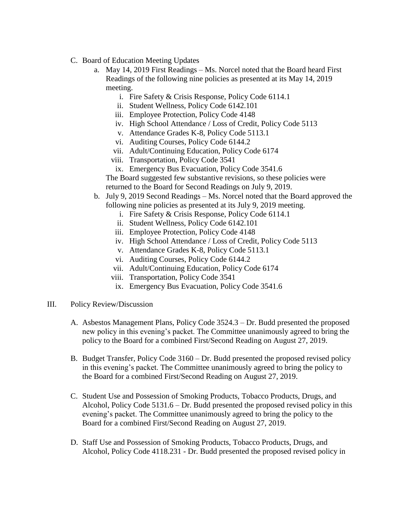- C. Board of Education Meeting Updates
	- a. May 14, 2019 First Readings Ms. Norcel noted that the Board heard First Readings of the following nine policies as presented at its May 14, 2019 meeting.
		- i. Fire Safety & Crisis Response, Policy Code 6114.1
		- ii. Student Wellness, Policy Code 6142.101
		- iii. Employee Protection, Policy Code 4148
		- iv. High School Attendance / Loss of Credit, Policy Code 5113
		- v. Attendance Grades K-8, Policy Code 5113.1
		- vi. Auditing Courses, Policy Code 6144.2
		- vii. Adult/Continuing Education, Policy Code 6174
		- viii. Transportation, Policy Code 3541
		- ix. Emergency Bus Evacuation, Policy Code 3541.6

The Board suggested few substantive revisions, so these policies were returned to the Board for Second Readings on July 9, 2019.

- b. July 9, 2019 Second Readings Ms. Norcel noted that the Board approved the following nine policies as presented at its July 9, 2019 meeting.
	- i. Fire Safety & Crisis Response, Policy Code 6114.1
	- ii. Student Wellness, Policy Code 6142.101
	- iii. Employee Protection, Policy Code 4148
	- iv. High School Attendance / Loss of Credit, Policy Code 5113
	- v. Attendance Grades K-8, Policy Code 5113.1
	- vi. Auditing Courses, Policy Code 6144.2
	- vii. Adult/Continuing Education, Policy Code 6174
	- viii. Transportation, Policy Code 3541
	- ix. Emergency Bus Evacuation, Policy Code 3541.6
- III. Policy Review/Discussion
	- A. Asbestos Management Plans, Policy Code 3524.3 Dr. Budd presented the proposed new policy in this evening's packet. The Committee unanimously agreed to bring the policy to the Board for a combined First/Second Reading on August 27, 2019.
	- B. Budget Transfer, Policy Code 3160 Dr. Budd presented the proposed revised policy in this evening's packet. The Committee unanimously agreed to bring the policy to the Board for a combined First/Second Reading on August 27, 2019.
	- C. Student Use and Possession of Smoking Products, Tobacco Products, Drugs, and Alcohol, Policy Code 5131.6 – Dr. Budd presented the proposed revised policy in this evening's packet. The Committee unanimously agreed to bring the policy to the Board for a combined First/Second Reading on August 27, 2019.
	- D. Staff Use and Possession of Smoking Products, Tobacco Products, Drugs, and Alcohol, Policy Code 4118.231 - Dr. Budd presented the proposed revised policy in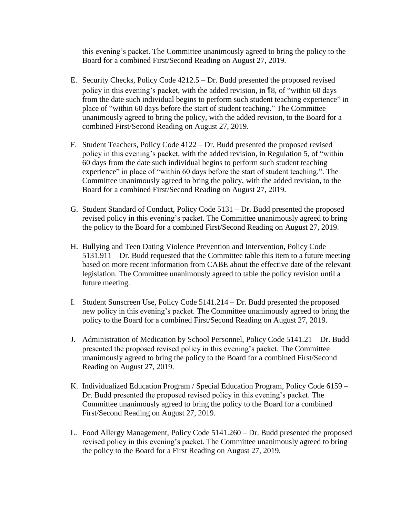this evening's packet. The Committee unanimously agreed to bring the policy to the Board for a combined First/Second Reading on August 27, 2019.

- E. Security Checks, Policy Code 4212.5 Dr. Budd presented the proposed revised policy in this evening's packet, with the added revision, in ¶8, of "within 60 days from the date such individual begins to perform such student teaching experience" in place of "within 60 days before the start of student teaching." The Committee unanimously agreed to bring the policy, with the added revision, to the Board for a combined First/Second Reading on August 27, 2019.
- F. Student Teachers, Policy Code 4122 Dr. Budd presented the proposed revised policy in this evening's packet, with the added revision, in Regulation 5, of "within 60 days from the date such individual begins to perform such student teaching experience" in place of "within 60 days before the start of student teaching.". The Committee unanimously agreed to bring the policy, with the added revision, to the Board for a combined First/Second Reading on August 27, 2019.
- G. Student Standard of Conduct, Policy Code 5131 Dr. Budd presented the proposed revised policy in this evening's packet. The Committee unanimously agreed to bring the policy to the Board for a combined First/Second Reading on August 27, 2019.
- H. Bullying and Teen Dating Violence Prevention and Intervention, Policy Code 5131.911 – Dr. Budd requested that the Committee table this item to a future meeting based on more recent information from CABE about the effective date of the relevant legislation. The Committee unanimously agreed to table the policy revision until a future meeting.
- I. Student Sunscreen Use, Policy Code 5141.214 Dr. Budd presented the proposed new policy in this evening's packet. The Committee unanimously agreed to bring the policy to the Board for a combined First/Second Reading on August 27, 2019.
- J. Administration of Medication by School Personnel, Policy Code 5141.21 Dr. Budd presented the proposed revised policy in this evening's packet. The Committee unanimously agreed to bring the policy to the Board for a combined First/Second Reading on August 27, 2019.
- K. Individualized Education Program / Special Education Program, Policy Code 6159 Dr. Budd presented the proposed revised policy in this evening's packet. The Committee unanimously agreed to bring the policy to the Board for a combined First/Second Reading on August 27, 2019.
- L. Food Allergy Management, Policy Code 5141.260 Dr. Budd presented the proposed revised policy in this evening's packet. The Committee unanimously agreed to bring the policy to the Board for a First Reading on August 27, 2019.